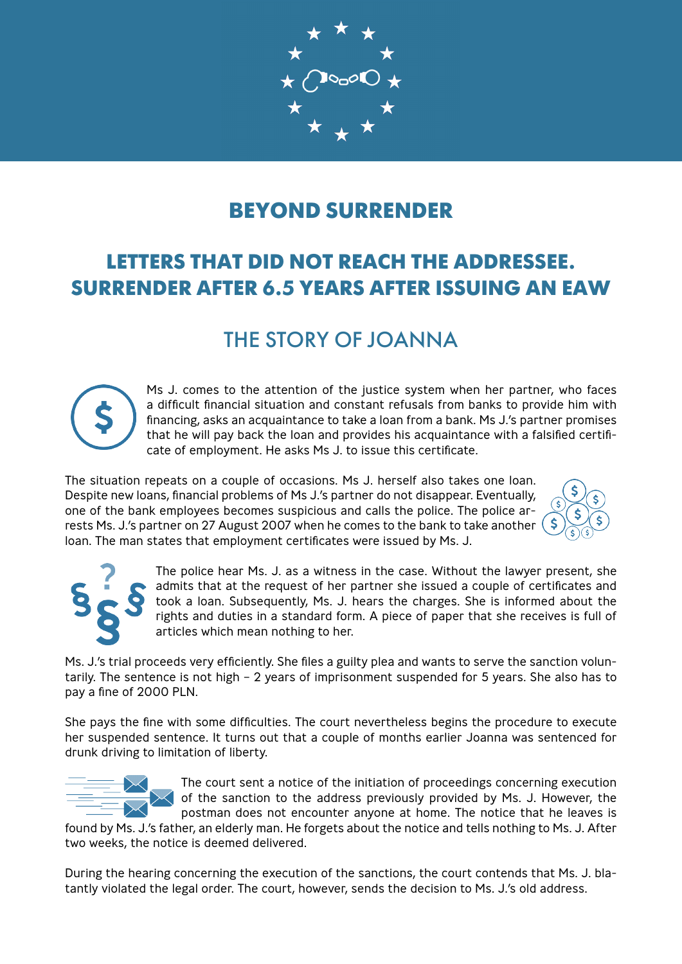

# **BEYOND SURRENDER**

# **LETTERS THAT DID NOT REACH THE ADDRESSEE. SURRENDER AFTER 6.5 YEARS AFTER ISSUING AN EAW**

# THE STORY OF JOANNA



Ms J. comes to the attention of the justice system when her partner, who faces a difficult financial situation and constant refusals from banks to provide him with financing, asks an acquaintance to take a loan from a bank. Ms J.'s partner promises that he will pay back the loan and provides his acquaintance with a falsified certificate of employment. He asks Ms J. to issue this certificate.

The situation repeats on a couple of occasions. Ms J. herself also takes one loan. Despite new loans, financial problems of Ms J.'s partner do not disappear. Eventually, one of the bank employees becomes suspicious and calls the police. The police arrests Ms. J.'s partner on 27 August 2007 when he comes to the bank to take another loan. The man states that employment certificates were issued by Ms. J.





The police hear Ms. J. as a witness in the case. Without the lawyer present, she admits that at the request of her partner she issued a couple of certificates and took a loan. Subsequently, Ms. J. hears the charges. She is informed about the rights and duties in a standard form. A piece of paper that she receives is full of articles which mean nothing to her.

Ms. J.'s trial proceeds very efficiently. She files a guilty plea and wants to serve the sanction voluntarily. The sentence is not high – 2 years of imprisonment suspended for 5 years. She also has to pay a fine of 2000 PLN.

She pays the fine with some difficulties. The court nevertheless begins the procedure to execute her suspended sentence. It turns out that a couple of months earlier Joanna was sentenced for drunk driving to limitation of liberty.



The court sent a notice of the initiation of proceedings concerning execution of the sanction to the address previously provided by Ms. J. However, the postman does not encounter anyone at home. The notice that he leaves is

found by Ms. J.'s father, an elderly man. He forgets about the notice and tells nothing to Ms. J. After two weeks, the notice is deemed delivered.

During the hearing concerning the execution of the sanctions, the court contends that Ms. J. blatantly violated the legal order. The court, however, sends the decision to Ms. J.'s old address.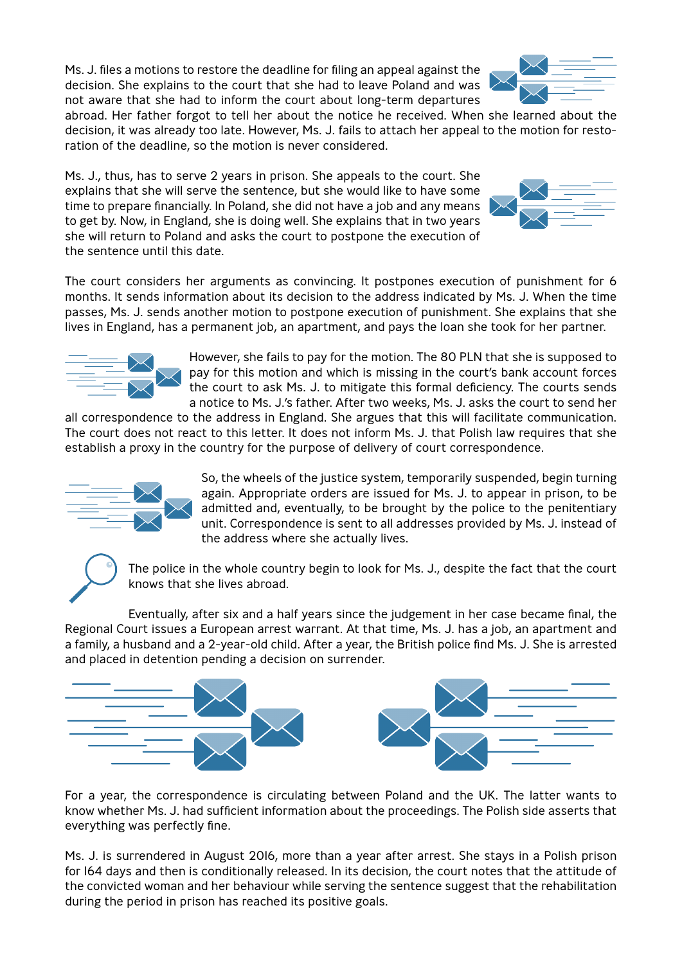Ms. J. files a motions to restore the deadline for filing an appeal against the decision. She explains to the court that she had to leave Poland and was not aware that she had to inform the court about long-term departures

abroad. Her father forgot to tell her about the notice he received. When she learned about the decision, it was already too late. However, Ms. J. fails to attach her appeal to the motion for restoration of the deadline, so the motion is never considered.

Ms. J., thus, has to serve 2 years in prison. She appeals to the court. She explains that she will serve the sentence, but she would like to have some time to prepare financially. In Poland, she did not have a job and any means to get by. Now, in England, she is doing well. She explains that in two years she will return to Poland and asks the court to postpone the execution of the sentence until this date.

The court considers her arguments as convincing. It postpones execution of punishment for 6 months. It sends information about its decision to the address indicated by Ms. J. When the time passes, Ms. J. sends another motion to postpone execution of punishment. She explains that she lives in England, has a permanent job, an apartment, and pays the loan she took for her partner.

> However, she fails to pay for the motion. The 80 PLN that she is supposed to pay for this motion and which is missing in the court's bank account forces the court to ask Ms. J. to mitigate this formal deficiency. The courts sends a notice to Ms. J.'s father. After two weeks, Ms. J. asks the court to send her

all correspondence to the address in England. She argues that this will facilitate communication. The court does not react to this letter. It does not inform Ms. J. that Polish law requires that she establish a proxy in the country for the purpose of delivery of court correspondence.

> So, the wheels of the justice system, temporarily suspended, begin turning again. Appropriate orders are issued for Ms. J. to appear in prison, to be admitted and, eventually, to be brought by the police to the penitentiary unit. Correspondence is sent to all addresses provided by Ms. J. instead of the address where she actually lives.

The police in the whole country begin to look for Ms. J., despite the fact that the court knows that she lives abroad.

Eventually, after six and a half years since the judgement in her case became final, the Regional Court issues a European arrest warrant. At that time, Ms. J. has a job, an apartment and a family, a husband and a 2-year-old child. After a year, the British police find Ms. J. She is arrested and placed in detention pending a decision on surrender.

For a year, the correspondence is circulating between Poland and the UK. The latter wants to know whether Ms. J. had sufficient information about the proceedings. The Polish side asserts that everything was perfectly fine.

Ms. J. is surrendered in August 2016, more than a year after arrest. She stays in a Polish prison for 164 days and then is conditionally released. In its decision, the court notes that the attitude of the convicted woman and her behaviour while serving the sentence suggest that the rehabilitation during the period in prison has reached its positive goals.







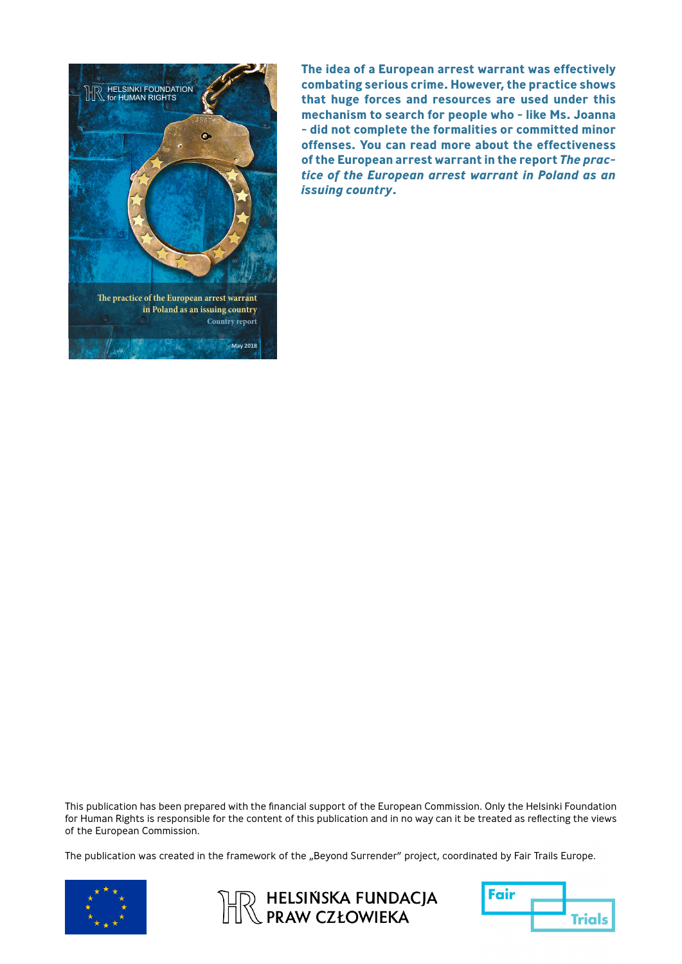

**The idea of a European arrest warrant was effectively combating serious crime. However, the practice shows that huge forces and resources are used under this mechanism to search for people who - like Ms. Joanna - did not complete the formalities or committed minor offenses. You can read more about the effectiveness of the European arrest warrant in the report** *The practice of the European arrest warrant in Poland as an issuing country***.**

This publication has been prepared with the financial support of the European Commission. Only the Helsinki Foundation for Human Rights is responsible for the content of this publication and in no way can it be treated as reflecting the views of the European Commission.

The publication was created in the framework of the "Beyond Surrender" project, coordinated by Fair Trails Europe.





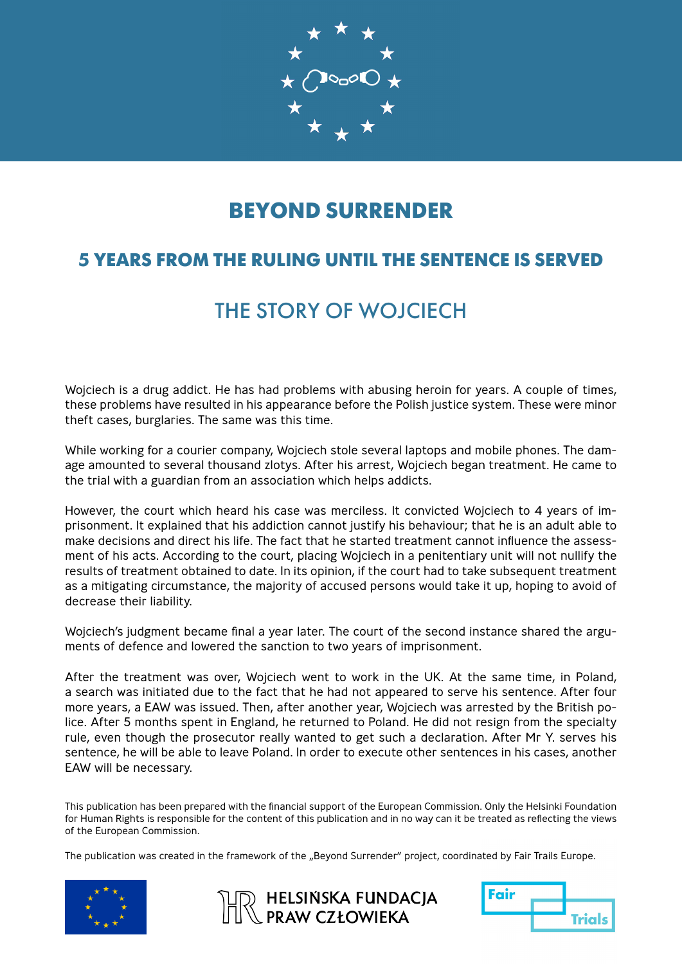

# **BEYOND SURRENDER**

#### **5 YEARS FROM THE RULING UNTIL THE SENTENCE IS SERVED**

# THE STORY OF WOJCIECH

Wojciech is a drug addict. He has had problems with abusing heroin for years. A couple of times, these problems have resulted in his appearance before the Polish justice system. These were minor theft cases, burglaries. The same was this time.

While working for a courier company, Wojciech stole several laptops and mobile phones. The damage amounted to several thousand zlotys. After his arrest, Wojciech began treatment. He came to the trial with a guardian from an association which helps addicts.

However, the court which heard his case was merciless. It convicted Wojciech to 4 years of imprisonment. It explained that his addiction cannot justify his behaviour; that he is an adult able to make decisions and direct his life. The fact that he started treatment cannot influence the assessment of his acts. According to the court, placing Wojciech in a penitentiary unit will not nullify the results of treatment obtained to date. In its opinion, if the court had to take subsequent treatment as a mitigating circumstance, the majority of accused persons would take it up, hoping to avoid of decrease their liability.

Wojciech's judgment became final a year later. The court of the second instance shared the arguments of defence and lowered the sanction to two years of imprisonment.

After the treatment was over, Wojciech went to work in the UK. At the same time, in Poland, a search was initiated due to the fact that he had not appeared to serve his sentence. After four more years, a EAW was issued. Then, after another year, Wojciech was arrested by the British police. After 5 months spent in England, he returned to Poland. He did not resign from the specialty rule, even though the prosecutor really wanted to get such a declaration. After Mr Y. serves his sentence, he will be able to leave Poland. In order to execute other sentences in his cases, another EAW will be necessary.

This publication has been prepared with the financial support of the European Commission. Only the Helsinki Foundation for Human Rights is responsible for the content of this publication and in no way can it be treated as reflecting the views of the European Commission.

The publication was created in the framework of the "Beyond Surrender" project, coordinated by Fair Trails Europe.